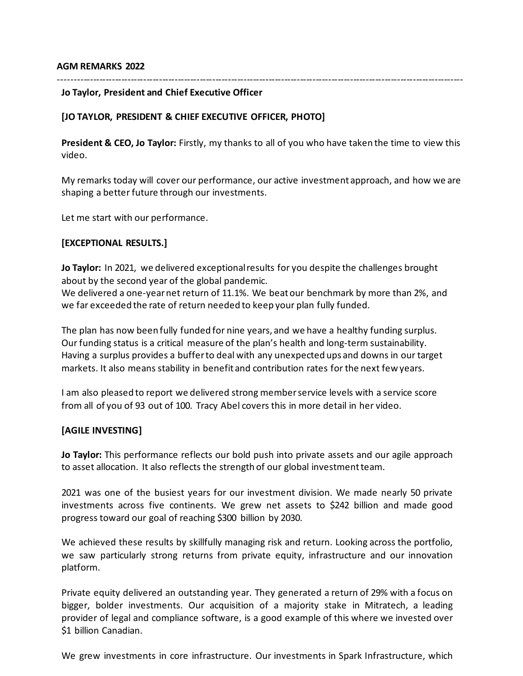#### **AGM REMARKS 2022**

#### ---------------------------------------------------------------------------------------------------------------------------------

#### **Jo Taylor, President and Chief Executive Officer**

## **[JO TAYLOR, PRESIDENT & CHIEF EXECUTIVE OFFICER, PHOTO]**

**President & CEO, Jo Taylor:** Firstly, my thanks to all of you who have taken the time to view this video.

My remarks today will cover our performance, our active investment approach, and how we are shaping a better future through our investments.

Let me start with our performance.

### **[EXCEPTIONAL RESULTS.]**

**Jo Taylor:** In 2021, we delivered exceptional results for you despite the challenges brought about by the second year of the global pandemic.

We delivered a one-year net return of 11.1%. We beat our benchmark by more than 2%, and we far exceeded the rate of return needed to keep your plan fully funded.

The plan has now been fully funded for nine years, and we have a healthy funding surplus. Our funding status is a critical measure of the plan's health and long-term sustainability. Having a surplus provides a buffer to deal with any unexpected ups and downs in our target markets. It also means stability in benefit and contribution rates for the next few years.

I am also pleased to report we delivered strong member service levels with a service score from all of you of 93 out of 100. Tracy Abel covers this in more detail in her video.

### **[AGILE INVESTING]**

**Jo Taylor:** This performance reflects our bold push into private assets and our agile approach to asset allocation. It also reflects the strength of our global investment team.

2021 was one of the busiest years for our investment division. We made nearly 50 private investments across five continents. We grew net assets to \$242 billion and made good progress toward our goal of reaching \$300 billion by 2030.

We achieved these results by skillfully managing risk and return. Looking across the portfolio, we saw particularly strong returns from private equity, infrastructure and our innovation platform.

Private equity delivered an outstanding year. They generated a return of 29% with a focus on bigger, bolder investments. Our acquisition of a majority stake in Mitratech, a leading provider of legal and compliance software, is a good example of this where we invested over \$1 billion Canadian.

We grew investments in core infrastructure. Our investments in Spark Infrastructure, which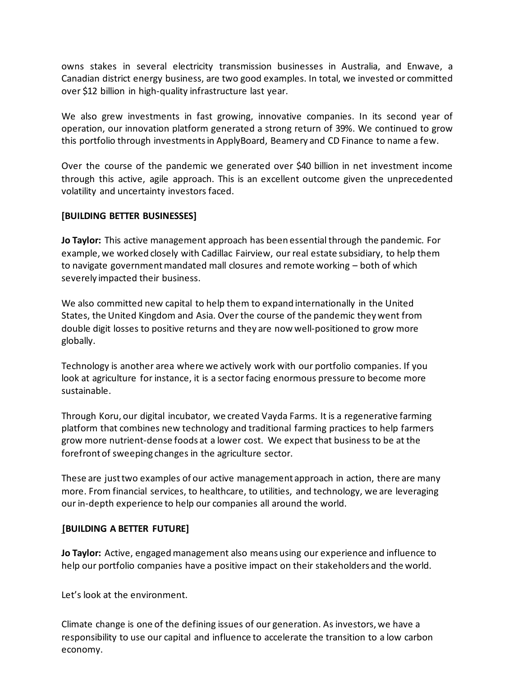owns stakes in several electricity transmission businesses in Australia, and Enwave, a Canadian district energy business, are two good examples. In total, we invested or committed over \$12 billion in high-quality infrastructure last year.

We also grew investments in fast growing, innovative companies. In its second year of operation, our innovation platform generated a strong return of 39%. We continued to grow this portfolio through investments in ApplyBoard, Beamery and CD Finance to name a few.

Over the course of the pandemic we generated over \$40 billion in net investment income through this active, agile approach. This is an excellent outcome given the unprecedented volatility and uncertainty investors faced.

## **[BUILDING BETTER BUSINESSES]**

**Jo Taylor:** This active management approach has been essential through the pandemic. For example, we worked closely with Cadillac Fairview, our real estate subsidiary, to help them to navigate government mandated mall closures and remote working – both of which severely impacted their business.

We also committed new capital to help them to expand internationally in the United States, the United Kingdom and Asia. Over the course of the pandemic they went from double digit losses to positive returns and they are now well-positioned to grow more globally.

Technology is another area where we actively work with our portfolio companies. If you look at agriculture for instance, it is a sector facing enormous pressure to become more sustainable.

Through Koru, our digital incubator, we created Vayda Farms. It is a regenerative farming platform that combines new technology and traditional farming practices to help farmers grow more nutrient-dense foods at a lower cost. We expect that business to be at the forefront of sweeping changes in the agriculture sector.

These are just two examples of our active management approach in action, there are many more. From financial services, to healthcare, to utilities, and technology, we are leveraging our in-depth experience to help our companies all around the world.

### **[BUILDING A BETTER FUTURE]**

**Jo Taylor:** Active, engaged management also means using our experience and influence to help our portfolio companies have a positive impact on their stakeholders and the world.

Let's look at the environment.

Climate change is one of the defining issues of our generation. As investors, we have a responsibility to use our capital and influence to accelerate the transition to a low carbon economy.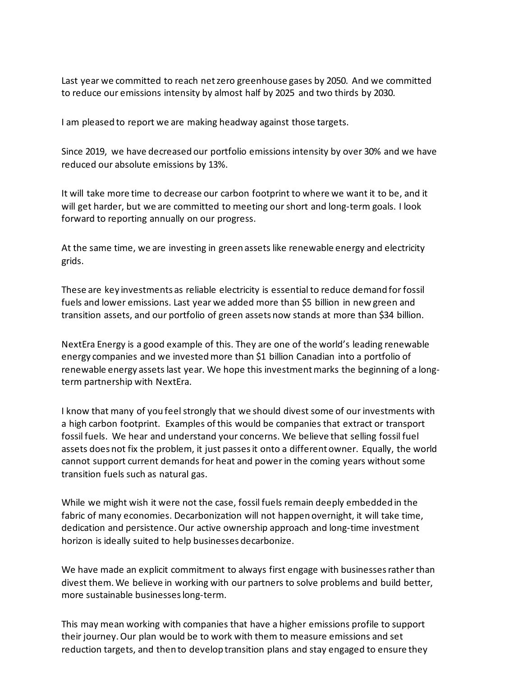Last year we committed to reach net zero greenhouse gases by 2050. And we committed to reduce our emissions intensity by almost half by 2025 and two thirds by 2030.

I am pleased to report we are making headway against those targets.

Since 2019, we have decreased our portfolio emissions intensity by over 30% and we have reduced our absolute emissions by 13%.

It will take more time to decrease our carbon footprint to where we want it to be, and it will get harder, but we are committed to meeting our short and long-term goals. I look forward to reporting annually on our progress.

At the same time, we are investing in green assets like renewable energy and electricity grids.

These are key investments as reliable electricity is essential to reduce demand for fossil fuels and lower emissions. Last year we added more than \$5 billion in new green and transition assets, and our portfolio of green assets now stands at more than \$34 billion.

NextEra Energy is a good example of this. They are one of the world's leading renewable energy companies and we invested more than \$1 billion Canadian into a portfolio of renewable energy assets last year. We hope this investment marks the beginning of a longterm partnership with NextEra.

I know that many of you feel strongly that we should divest some of our investments with a high carbon footprint. Examples of this would be companies that extract or transport fossil fuels. We hear and understand your concerns. We believe that selling fossil fuel assets does not fix the problem, it just passes it onto a different owner. Equally, the world cannot support current demands for heat and power in the coming years without some transition fuels such as natural gas.

While we might wish it were not the case, fossil fuels remain deeply embedded in the fabric of many economies. Decarbonization will not happen overnight, it will take time, dedication and persistence. Our active ownership approach and long-time investment horizon is ideally suited to help businesses decarbonize.

We have made an explicit commitment to always first engage with businesses rather than divest them. We believe in working with our partners to solve problems and build better, more sustainable businesses long-term.

This may mean working with companies that have a higher emissions profile to support their journey. Our plan would be to work with them to measure emissions and set reduction targets, and then to develop transition plans and stay engaged to ensure they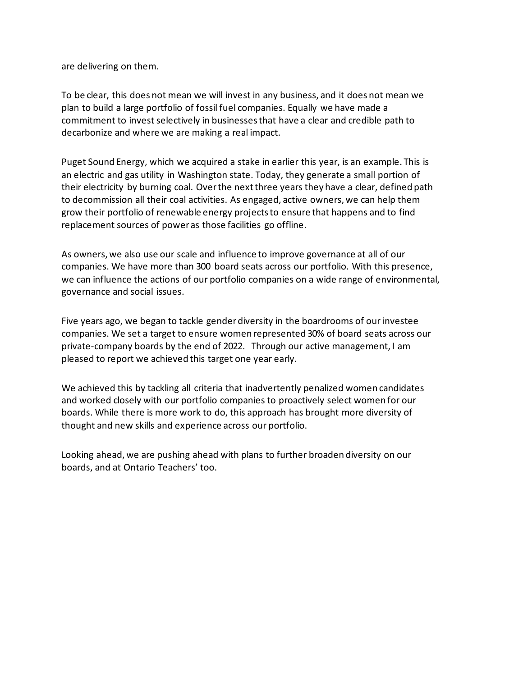are delivering on them.

To be clear, this does not mean we will invest in any business, and it does not mean we plan to build a large portfolio of fossil fuel companies. Equally we have made a commitment to invest selectively in businesses that have a clear and credible path to decarbonize and where we are making a real impact.

Puget Sound Energy, which we acquired a stake in earlier this year, is an example. This is an electric and gas utility in Washington state. Today, they generate a small portion of their electricity by burning coal. Over the next three years they have a clear, defined path to decommission all their coal activities. As engaged, active owners, we can help them grow their portfolio of renewable energy projects to ensure that happens and to find replacement sources of power as those facilities go offline.

As owners, we also use our scale and influence to improve governance at all of our companies. We have more than 300 board seats across our portfolio. With this presence, we can influence the actions of our portfolio companies on a wide range of environmental, governance and social issues.

Five years ago, we began to tackle gender diversity in the boardrooms of our investee companies. We set a target to ensure women represented 30% of board seats across our private-company boards by the end of 2022. Through our active management, I am pleased to report we achieved this target one year early.

We achieved this by tackling all criteria that inadvertently penalized women candidates and worked closely with our portfolio companies to proactively select women for our boards. While there is more work to do, this approach has brought more diversity of thought and new skills and experience across our portfolio.

Looking ahead, we are pushing ahead with plans to further broaden diversity on our boards, and at Ontario Teachers' too.